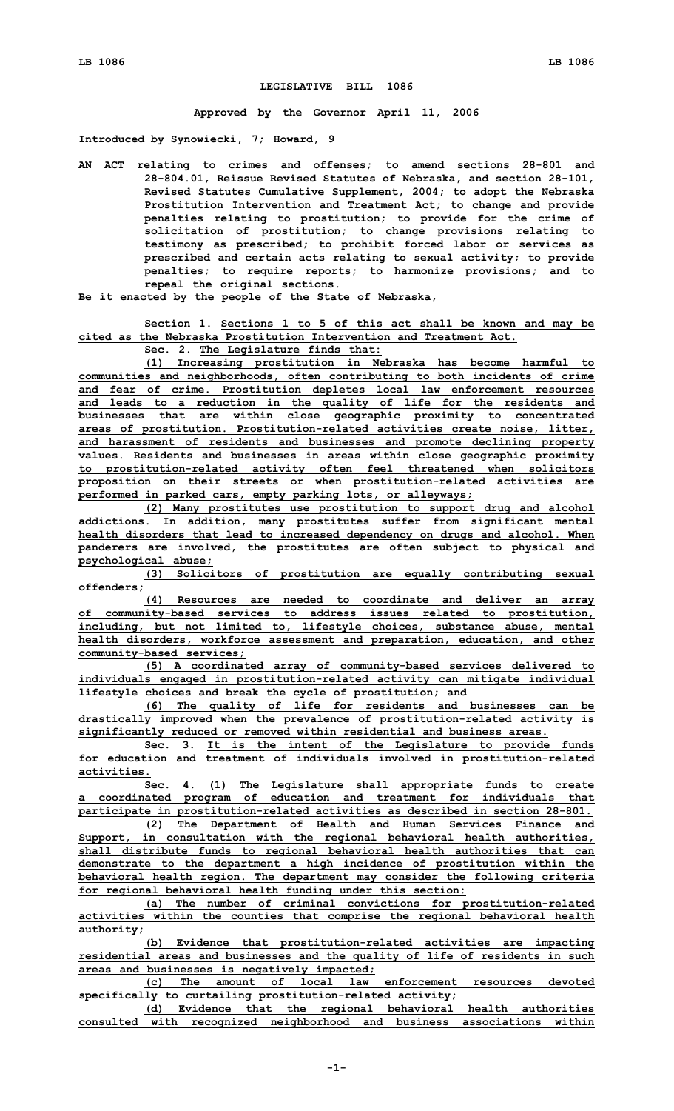## **LEGISLATIVE BILL 1086**

**Approved by the Governor April 11, 2006**

**Introduced by Synowiecki, 7; Howard, 9**

- **AN ACT relating to crimes and offenses; to amend sections 28-801 and 28-804.01, Reissue Revised Statutes of Nebraska, and section 28-101, Revised Statutes Cumulative Supplement, 2004; to adopt the Nebraska Prostitution Intervention and Treatment Act; to change and provide penalties relating to prostitution; to provide for the crime of solicitation of prostitution; to change provisions relating to testimony as prescribed; to prohibit forced labor or services as prescribed and certain acts relating to sexual activity; to provide penalties; to require reports; to harmonize provisions; and to repeal the original sections.**
- **Be it enacted by the people of the State of Nebraska,**

## **Section 1. Sections 1 to 5 of this act shall be known and may be cited as the Nebraska Prostitution Intervention and Treatment Act.**

**Sec. 2. The Legislature finds that:**

**(1) Increasing prostitution in Nebraska has become harmful to communities and neighborhoods, often contributing to both incidents of crime and fear of crime. Prostitution depletes local law enforcement resources and leads to <sup>a</sup> reduction in the quality of life for the residents and businesses that are within close geographic proximity to concentrated areas of prostitution. Prostitution-related activities create noise, litter, and harassment of residents and businesses and promote declining property values. Residents and businesses in areas within close geographic proximity to prostitution-related activity often feel threatened when solicitors proposition on their streets or when prostitution-related activities are performed in parked cars, empty parking lots, or alleyways;**

**(2) Many prostitutes use prostitution to support drug and alcohol addictions. In addition, many prostitutes suffer from significant mental health disorders that lead to increased dependency on drugs and alcohol. When panderers are involved, the prostitutes are often subject to physical and psychological abuse;**

**(3) Solicitors of prostitution are equally contributing sexual offenders;**

**(4) Resources are needed to coordinate and deliver an array of community-based services to address issues related to prostitution, including, but not limited to, lifestyle choices, substance abuse, mental health disorders, workforce assessment and preparation, education, and other community-based services;**

**(5) <sup>A</sup> coordinated array of community-based services delivered to individuals engaged in prostitution-related activity can mitigate individual lifestyle choices and break the cycle of prostitution; and**

**(6) The quality of life for residents and businesses can be drastically improved when the prevalence of prostitution-related activity is significantly reduced or removed within residential and business areas.**

**Sec. 3. It is the intent of the Legislature to provide funds for education and treatment of individuals involved in prostitution-related activities.**

**Sec. 4. (1) The Legislature shall appropriate funds to create <sup>a</sup> coordinated program of education and treatment for individuals that participate in prostitution-related activities as described in section 28-801.**

**(2) The Department of Health and Human Services Finance and Support, in consultation with the regional behavioral health authorities, shall distribute funds to regional behavioral health authorities that can demonstrate to the department <sup>a</sup> high incidence of prostitution within the behavioral health region. The department may consider the following criteria for regional behavioral health funding under this section:**

**(a) The number of criminal convictions for prostitution-related activities within the counties that comprise the regional behavioral health authority;**

**(b) Evidence that prostitution-related activities are impacting residential areas and businesses and the quality of life of residents in such areas and businesses is negatively impacted;**

**(c) The amount of local law enforcement resources devoted specifically to curtailing prostitution-related activity;**

**(d) Evidence that the regional behavioral health authorities consulted with recognized neighborhood and business associations within**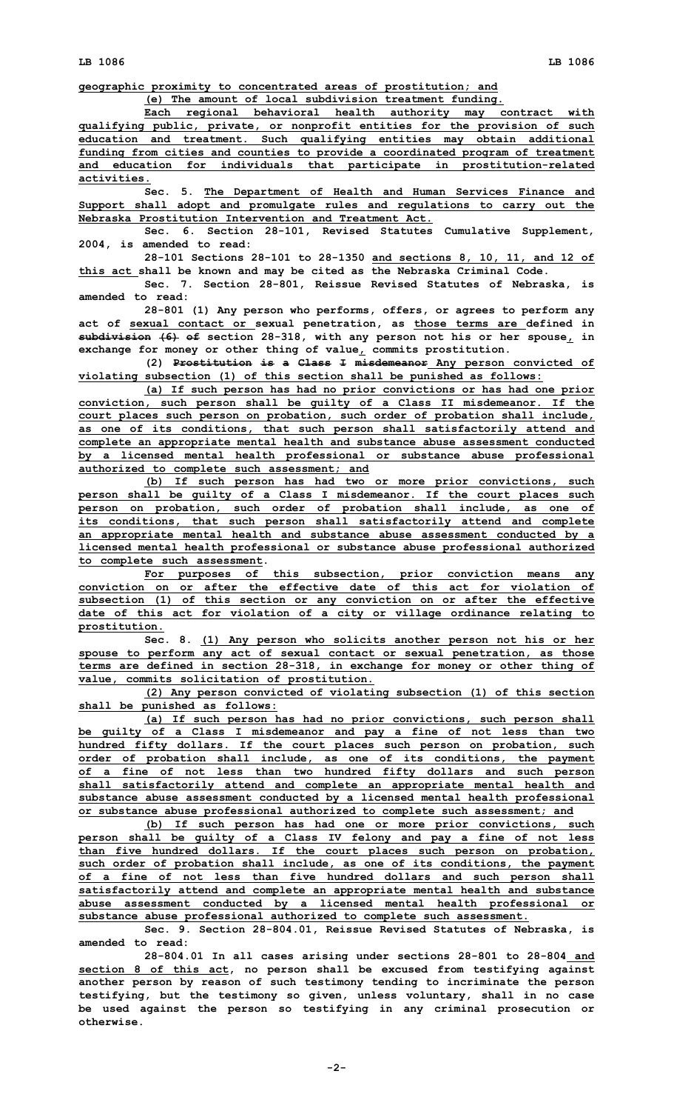**LB 1086 LB 1086**

**geographic proximity to concentrated areas of prostitution; and**

**(e) The amount of local subdivision treatment funding.**

**Each regional behavioral health authority may contract with qualifying public, private, or nonprofit entities for the provision of such education and treatment. Such qualifying entities may obtain additional funding from cities and counties to provide <sup>a</sup> coordinated program of treatment and education for individuals that participate in prostitution-related activities.**

**Sec. 5. The Department of Health and Human Services Finance and Support shall adopt and promulgate rules and regulations to carry out the Nebraska Prostitution Intervention and Treatment Act.**

**Sec. 6. Section 28-101, Revised Statutes Cumulative Supplement, 2004, is amended to read:**

**28-101 Sections 28-101 to 28-1350 and sections 8, 10, 11, and 12 of this act shall be known and may be cited as the Nebraska Criminal Code.**

**Sec. 7. Section 28-801, Reissue Revised Statutes of Nebraska, is amended to read:**

**28-801 (1) Any person who performs, offers, or agrees to perform any act of sexual contact or sexual penetration, as those terms are defined in subdivision (6) of section 28-318, with any person not his or her spouse, in exchange for money or other thing of value, commits prostitution.**

**(2) Prostitution is <sup>a</sup> Class <sup>I</sup> misdemeanor Any person convicted of violating subsection (1) of this section shall be punished as follows:**

**(a) If such person has had no prior convictions or has had one prior conviction, such person shall be guilty of <sup>a</sup> Class II misdemeanor. If the court places such person on probation, such order of probation shall include, as one of its conditions, that such person shall satisfactorily attend and complete an appropriate mental health and substance abuse assessment conducted by <sup>a</sup> licensed mental health professional or substance abuse professional authorized to complete such assessment; and**

**(b) If such person has had two or more prior convictions, such person shall be guilty of <sup>a</sup> Class I misdemeanor. If the court places such person on probation, such order of probation shall include, as one of its conditions, that such person shall satisfactorily attend and complete an appropriate mental health and substance abuse assessment conducted by <sup>a</sup> licensed mental health professional or substance abuse professional authorized to complete such assessment.**

**For purposes of this subsection, prior conviction means any conviction on or after the effective date of this act for violation of subsection (1) of this section or any conviction on or after the effective date of this act for violation of <sup>a</sup> city or village ordinance relating to prostitution.**

**Sec. 8. (1) Any person who solicits another person not his or her spouse to perform any act of sexual contact or sexual penetration, as those terms are defined in section 28-318, in exchange for money or other thing of value, commits solicitation of prostitution.**

**(2) Any person convicted of violating subsection (1) of this section shall be punished as follows:**

**(a) If such person has had no prior convictions, such person shall be guilty of <sup>a</sup> Class I misdemeanor and pay <sup>a</sup> fine of not less than two hundred fifty dollars. If the court places such person on probation, such order of probation shall include, as one of its conditions, the payment of <sup>a</sup> fine of not less than two hundred fifty dollars and such person shall satisfactorily attend and complete an appropriate mental health and substance abuse assessment conducted by <sup>a</sup> licensed mental health professional or substance abuse professional authorized to complete such assessment; and**

**(b) If such person has had one or more prior convictions, such person shall be guilty of <sup>a</sup> Class IV felony and pay <sup>a</sup> fine of not less than five hundred dollars. If the court places such person on probation, such order of probation shall include, as one of its conditions, the payment of <sup>a</sup> fine of not less than five hundred dollars and such person shall satisfactorily attend and complete an appropriate mental health and substance abuse assessment conducted by <sup>a</sup> licensed mental health professional or substance abuse professional authorized to complete such assessment.**

**Sec. 9. Section 28-804.01, Reissue Revised Statutes of Nebraska, is amended to read:**

**28-804.01 In all cases arising under sections 28-801 to 28-804 and section 8 of this act, no person shall be excused from testifying against another person by reason of such testimony tending to incriminate the person testifying, but the testimony so given, unless voluntary, shall in no case be used against the person so testifying in any criminal prosecution or otherwise.**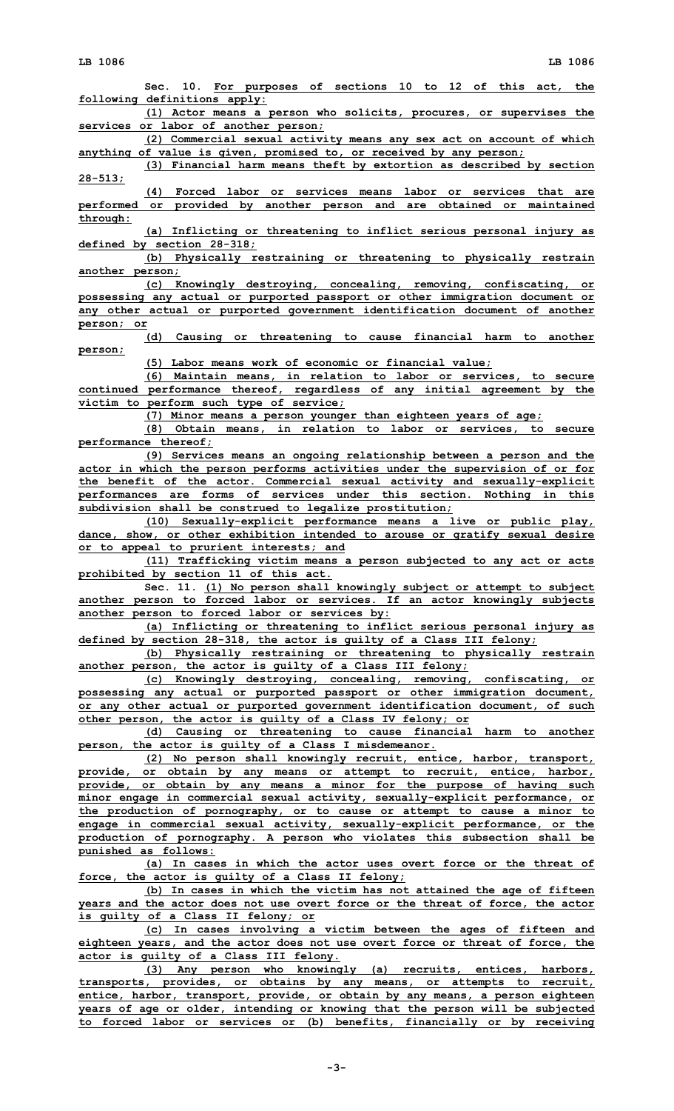**LB 1086 LB 1086 Sec. 10. For purposes of sections 10 to 12 of this act, the following definitions apply: (1) Actor means <sup>a</sup> person who solicits, procures, or supervises the services or labor of another person; (2) Commercial sexual activity means any sex act on account of which anything of value is given, promised to, or received by any person; (3) Financial harm means theft by extortion as described by section 28-513; (4) Forced labor or services means labor or services that are performed or provided by another person and are obtained or maintained through: (a) Inflicting or threatening to inflict serious personal injury as defined by section 28-318; (b) Physically restraining or threatening to physically restrain another person; (c) Knowingly destroying, concealing, removing, confiscating, or possessing any actual or purported passport or other immigration document or any other actual or purported government identification document of another person; or (d) Causing or threatening to cause financial harm to another person; (5) Labor means work of economic or financial value; (6) Maintain means, in relation to labor or services, to secure continued performance thereof, regardless of any initial agreement by the victim to perform such type of service; (7) Minor means <sup>a</sup> person younger than eighteen years of age; (8) Obtain means, in relation to labor or services, to secure performance thereof; (9) Services means an ongoing relationship between <sup>a</sup> person and the actor in which the person performs activities under the supervision of or for the benefit of the actor. Commercial sexual activity and sexually-explicit performances are forms of services under this section. Nothing in this subdivision shall be construed to legalize prostitution; (10) Sexually-explicit performance means <sup>a</sup> live or public play, dance, show, or other exhibition intended to arouse or gratify sexual desire or to appeal to prurient interests; and (11) Trafficking victim means <sup>a</sup> person subjected to any act or acts prohibited by section 11 of this act. Sec. 11. (1) No person shall knowingly subject or attempt to subject another person to forced labor or services. If an actor knowingly subjects another person to forced labor or services by: (a) Inflicting or threatening to inflict serious personal injury as defined by section 28-318, the actor is guilty of <sup>a</sup> Class III felony; (b) Physically restraining or threatening to physically restrain another person, the actor is guilty of <sup>a</sup> Class III felony; (c) Knowingly destroying, concealing, removing, confiscating, or possessing any actual or purported passport or other immigration document, or any other actual or purported government identification document, of such other person, the actor is guilty of <sup>a</sup> Class IV felony; or (d) Causing or threatening to cause financial harm to another person, the actor is guilty of <sup>a</sup> Class I misdemeanor. (2) No person shall knowingly recruit, entice, harbor, transport, provide, or obtain by any means or attempt to recruit, entice, harbor, provide, or obtain by any means <sup>a</sup> minor for the purpose of having such minor engage in commercial sexual activity, sexually-explicit performance, or the production of pornography, or to cause or attempt to cause <sup>a</sup> minor to engage in commercial sexual activity, sexually-explicit performance, or the production of pornography. A person who violates this subsection shall be punished as follows: (a) In cases in which the actor uses overt force or the threat of force, the actor is guilty of <sup>a</sup> Class II felony; (b) In cases in which the victim has not attained the age of fifteen years and the actor does not use overt force or the threat of force, the actor is guilty of <sup>a</sup> Class II felony; or (c) In cases involving <sup>a</sup> victim between the ages of fifteen and eighteen years, and the actor does not use overt force or threat of force, the actor is guilty of <sup>a</sup> Class III felony. (3) Any person who knowingly (a) recruits, entices, harbors, transports, provides, or obtains by any means, or attempts to recruit, entice, harbor, transport, provide, or obtain by any means, <sup>a</sup> person eighteen years of age or older, intending or knowing that the person will be subjected**

**to forced labor or services or (b) benefits, financially or by receiving**